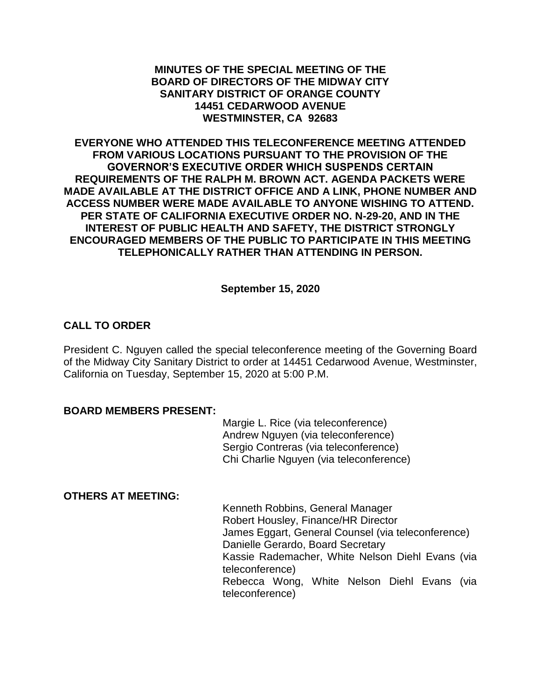#### **MINUTES OF THE SPECIAL MEETING OF THE BOARD OF DIRECTORS OF THE MIDWAY CITY SANITARY DISTRICT OF ORANGE COUNTY 14451 CEDARWOOD AVENUE WESTMINSTER, CA 92683**

**EVERYONE WHO ATTENDED THIS TELECONFERENCE MEETING ATTENDED FROM VARIOUS LOCATIONS PURSUANT TO THE PROVISION OF THE GOVERNOR'S EXECUTIVE ORDER WHICH SUSPENDS CERTAIN REQUIREMENTS OF THE RALPH M. BROWN ACT. AGENDA PACKETS WERE MADE AVAILABLE AT THE DISTRICT OFFICE AND A LINK, PHONE NUMBER AND ACCESS NUMBER WERE MADE AVAILABLE TO ANYONE WISHING TO ATTEND. PER STATE OF CALIFORNIA EXECUTIVE ORDER NO. N-29-20, AND IN THE INTEREST OF PUBLIC HEALTH AND SAFETY, THE DISTRICT STRONGLY ENCOURAGED MEMBERS OF THE PUBLIC TO PARTICIPATE IN THIS MEETING TELEPHONICALLY RATHER THAN ATTENDING IN PERSON.**

**September 15, 2020**

# **CALL TO ORDER**

President C. Nguyen called the special teleconference meeting of the Governing Board of the Midway City Sanitary District to order at 14451 Cedarwood Avenue, Westminster, California on Tuesday, September 15, 2020 at 5:00 P.M.

#### **BOARD MEMBERS PRESENT:**

Margie L. Rice (via teleconference) Andrew Nguyen (via teleconference) Sergio Contreras (via teleconference) Chi Charlie Nguyen (via teleconference)

#### **OTHERS AT MEETING:**

Kenneth Robbins, General Manager Robert Housley, Finance/HR Director James Eggart, General Counsel (via teleconference) Danielle Gerardo, Board Secretary Kassie Rademacher, White Nelson Diehl Evans (via teleconference) Rebecca Wong, White Nelson Diehl Evans (via teleconference)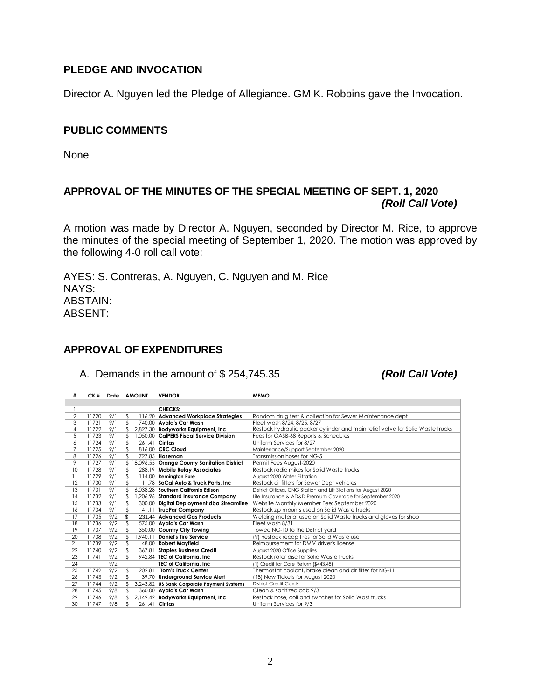## **PLEDGE AND INVOCATION**

Director A. Nguyen led the Pledge of Allegiance. GM K. Robbins gave the Invocation.

#### **PUBLIC COMMENTS**

None

# **APPROVAL OF THE MINUTES OF THE SPECIAL MEETING OF SEPT. 1, 2020** *(Roll Call Vote)*

A motion was made by Director A. Nguyen, seconded by Director M. Rice, to approve the minutes of the special meeting of September 1, 2020. The motion was approved by the following 4-0 roll call vote:

AYES: S. Contreras, A. Nguyen, C. Nguyen and M. Rice NAYS: ABSTAIN: ABSENT:

## **APPROVAL OF EXPENDITURES**

A. Demands in the amount of \$ 254,745.35 *(Roll Call Vote)*

| #              | CK#   |     | Date AMOUNT |          | <b>VENDOR</b>                               | <b>MEMO</b>                                                                    |
|----------------|-------|-----|-------------|----------|---------------------------------------------|--------------------------------------------------------------------------------|
|                |       |     |             |          |                                             |                                                                                |
|                |       |     |             |          | <b>CHECKS:</b>                              |                                                                                |
| $\overline{2}$ | 11720 | 9/1 | \$          |          | 116.20 Advanced Workplace Strategies        | Random drug test & collection for Sewer Maintenance dept                       |
| 3              | 11721 | 9/1 | \$          |          | 740.00 Avala's Car Wash                     | Fleet wash 8/24, 8/25, 8/27                                                    |
| 4              | 11722 | 9/1 |             |          | 2,827.30 Bodyworks Equipment, Inc.          | Restock hydraulic packer cylinder and main relief valve for Solid Waste trucks |
| 5              | 11723 | 9/1 |             |          | 1.050.00 CalPERS Fiscal Service Division    | Fees for GASB-68 Reports & Schedules                                           |
| 6              | 11724 | 9/1 | \$          |          | 261.41 Cintas                               | Uniform Services for 8/27                                                      |
| 7              | 11725 | 9/1 | \$          |          | 816.00 CRC Cloud                            | Maintenance/Support September 2020                                             |
| 8              | 11726 | 9/1 |             |          | 727.85 Hoseman                              | Transmission hoses for NG-5                                                    |
| 9              | 11727 | 9/1 |             |          | 18,096.55 Orange County Sanitation District | Permit Fees August-2020                                                        |
| 10             | 11728 | 9/1 | \$          |          | 288.19 Mobile Relay Associates              | Restock radio mikes for Solid Waste trucks                                     |
| 11             | 11729 | 9/1 | \$          |          | 114.00 Remington Pure                       | August 2020 Water Filtration                                                   |
| 12             | 11730 | 9/1 | \$          |          | 11.78 SoCal Auto & Truck Parts, Inc.        | Restock oil filters for Sewer Dept vehicles                                    |
| 13             | 11731 | 9/1 |             |          | 6.038.28 Southern California Edison         | District Offices, CNG Station and Lift Stations for August 2020                |
| 14             | 11732 | 9/1 |             |          | 1,206.96 Standard Insurance Company         | Life Insurance & AD&D Premium Coverage for September 2020                      |
| 15             | 11733 | 9/1 | \$          |          | 300.00 Digital Deployment dba Streamline    | Website Monthly Member Fee: September 2020                                     |
| 16             | 11734 | 9/1 | \$          |          | 41.11 TrucPar Company                       | Restock zip mounts used on Solid Waste trucks                                  |
| 17             | 11735 | 9/2 | \$          |          | 231.44 Advanced Gas Products                | Welding material used on Solid Waste trucks and gloves for shop                |
| 18             | 11736 | 9/2 | \$          |          | 575.00 Ayala's Car Wash                     | Fleet wash 8/31                                                                |
| 19             | 11737 | 9/2 | \$          |          | 350.00 Country City Towing                  | Towed NG-10 to the District yard                                               |
| 20             | 11738 | 9/2 | \$          | 1.940.11 | <b>Daniel's Tire Service</b>                | (9) Restock recap tires for Solid Waste use                                    |
| 21             | 11739 | 9/2 | \$          |          | 48.00 Robert Mayfield                       | Reimbursement for DMV driver's license                                         |
| 22             | 11740 | 9/2 | \$          | 367.81   | <b>Staples Business Credit</b>              | August 2020 Office Supplies                                                    |
| 23             | 11741 | 9/2 | \$          |          | 942.84 TEC of California, Inc.              | Restock rotor disc for Solid Waste trucks                                      |
| 24             |       | 9/2 |             |          | TEC of California, Inc.                     | (1) Credit for Core Return (\$443.48)                                          |
| 25             | 11742 | 9/2 | \$          | 202.81   | <b>Tom's Truck Center</b>                   | Thermostat coolant, brake clean and air filter for NG-11                       |
| 26             | 11743 | 9/2 | \$          |          | 39.70 Underground Service Alert             | (18) New Tickets for August 2020                                               |
| 27             | 11744 | 9/2 |             |          | 3,243.82 US Bank Corporate Payment Systems  | District Credit Cards                                                          |
| 28             | 11745 | 9/8 |             |          | 360.00 Ayala's Car Wash                     | Clean & sanitized cab 9/3                                                      |
| 29             | 11746 | 9/8 | \$          |          | 2,149.42 Bodyworks Equipment, Inc.          | Restock hose, coil and switches for Solid Wast trucks                          |
| 30             | 11747 | 9/8 |             |          | 261.41 Cintas                               | Uniform Services for 9/3                                                       |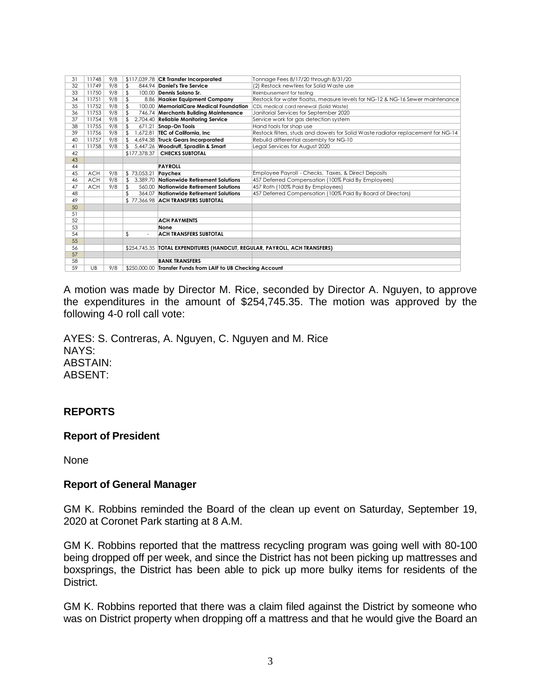| 31 | 11748            | 9/8 |                        | \$117,039.78 CR Transfer Incorporated                                        | Tonnage Fees 8/17/20 through 8/31/20                                             |
|----|------------------|-----|------------------------|------------------------------------------------------------------------------|----------------------------------------------------------------------------------|
| 32 | 11749            | 9/8 | \$                     | 844.94 Daniel's Tire Service                                                 | (2) Restock newtires for Solid Waste use                                         |
| 33 | 11750            | 9/8 | \$                     | 100.00 Dennis Solano Sr.                                                     | Reimbursement for testing                                                        |
| 34 | 11751            | 9/8 | \$                     | 8.86 Haaker Equipment Company                                                | Restock for water floatss, measure levels for NG-12 & NG-16 Sewer maintenance    |
| 35 | 11752            | 9/8 | \$                     | 100.00 MemorialCare Medical Foundation                                       | CDL medical card renewal (Solid Waste)                                           |
| 36 | 11753            | 9/8 |                        | 746.74 Merchants Building Maintenance                                        | Janitorial Services for September 2020                                           |
| 37 | 11754            | 9/8 |                        | 2,704.40 Reliable Monitoring Service                                         | Service work for gas detection system                                            |
| 38 | 11755            | 9/8 | \$                     | 671.21 Snap-On Tools                                                         | Hand tools for shop use                                                          |
| 39 | 11756            | 9/8 |                        | 1.672.81 TEC of California. Inc.                                             | Restock filters, studs and dowels for Solid Waste radiator replacement for NG-14 |
| 40 | 11757            | 9/8 | \$                     | 4,694.38 Truck Gears Incorporated                                            | Rebuild differential assembly for NG-10                                          |
| 41 | 11758            | 9/8 |                        | 5,447.26 Woodruff, Spradlin & Smart                                          | Legal Services for August 2020                                                   |
| 42 |                  |     |                        | \$177,378.37   CHECKS SUBTOTAL                                               |                                                                                  |
| 43 |                  |     |                        |                                                                              |                                                                                  |
| 44 |                  |     |                        | <b>PAYROLL</b>                                                               |                                                                                  |
| 45 | <b>ACH</b>       | 9/8 | \$ 73,053.21   Paychex |                                                                              | Employee Payroll - Checks, Taxes, & Direct Deposits                              |
| 46 | <b>ACH</b>       | 9/8 | \$                     | 3.389.70 Nationwide Retirement Solutions                                     | 457 Deferred Compensation (100% Paid By Employees)                               |
| 47 | <b>ACH</b>       | 9/8 | \$                     | 560.00 Nationwide Retirement Solutions                                       | 457 Roth (100% Paid By Employees)                                                |
| 48 |                  |     |                        | 364.07 Nationwide Retirement Solutions                                       | 457 Deferred Compensation (100% Paid By Board of Directors)                      |
| 49 |                  |     |                        | \$77.366.98 ACH TRANSFERS SUBTOTAL                                           |                                                                                  |
| 50 |                  |     |                        |                                                                              |                                                                                  |
| 51 |                  |     |                        |                                                                              |                                                                                  |
| 52 |                  |     |                        | <b>ACH PAYMENTS</b>                                                          |                                                                                  |
| 53 |                  |     |                        | None                                                                         |                                                                                  |
| 54 |                  |     | \$                     | <b>ACH TRANSFERS SUBTOTAL</b>                                                |                                                                                  |
| 55 |                  |     |                        |                                                                              |                                                                                  |
| 56 |                  |     |                        | \$254,745.35   TOTAL EXPENDITURES (HANDCUT, REGULAR, PAYROLL, ACH TRANSFERS) |                                                                                  |
| 57 |                  |     |                        |                                                                              |                                                                                  |
| 58 |                  |     |                        | <b>BANK TRANSFERS</b>                                                        |                                                                                  |
| 59 | $U$ <sub>B</sub> | 9/8 |                        | \$250,000.00 Transfer Funds from LAIF to UB Checking Account                 |                                                                                  |
|    |                  |     |                        |                                                                              |                                                                                  |
|    |                  |     |                        |                                                                              |                                                                                  |

A motion was made by Director M. Rice, seconded by Director A. Nguyen, to approve the expenditures in the amount of \$254,745.35. The motion was approved by the following 4-0 roll call vote:

AYES: S. Contreras, A. Nguyen, C. Nguyen and M. Rice NAYS: ABSTAIN: ABSENT:

## **REPORTS**

## **Report of President**

None

#### **Report of General Manager**

GM K. Robbins reminded the Board of the clean up event on Saturday, September 19, at Coronet Park starting at 8 A.M.

GM K. Robbins reported that the mattress recycling program was going well with 80-100 being dropped off per week, and since the District has not been picking up mattresses and boxsprings, the District has been able to pick up more bulky items for residents of the District.

GM K. Robbins reported that there was a claim filed against the District by someone who was on District property when dropping off a mattress and that he would give the Board an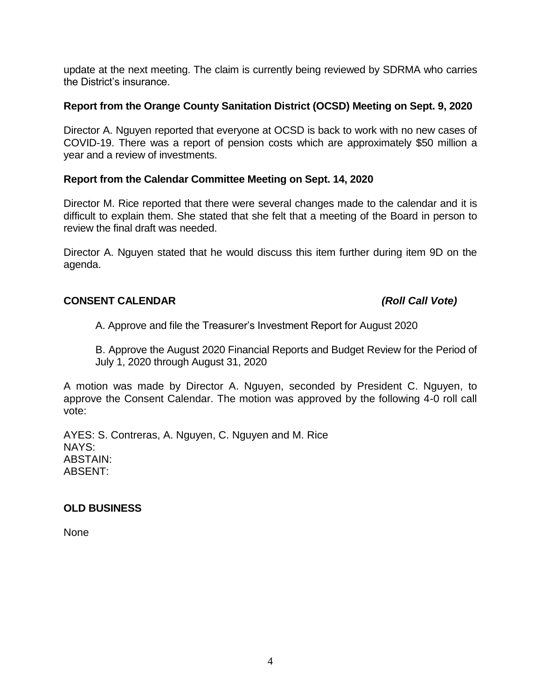update at the next meeting. The claim is currently being reviewed by SDRMA who carries the District's insurance.

## **Report from the Orange County Sanitation District (OCSD) Meeting on Sept. 9, 2020**

Director A. Nguyen reported that everyone at OCSD is back to work with no new cases of COVID-19. There was a report of pension costs which are approximately \$50 million a year and a review of investments.

## **Report from the Calendar Committee Meeting on Sept. 14, 2020**

Director M. Rice reported that there were several changes made to the calendar and it is difficult to explain them. She stated that she felt that a meeting of the Board in person to review the final draft was needed.

Director A. Nguyen stated that he would discuss this item further during item 9D on the agenda.

## **CONSENT CALENDAR** *(Roll Call Vote)*

A. Approve and file the Treasurer's Investment Report for August 2020

B. Approve the August 2020 Financial Reports and Budget Review for the Period of July 1, 2020 through August 31, 2020

A motion was made by Director A. Nguyen, seconded by President C. Nguyen, to approve the Consent Calendar. The motion was approved by the following 4-0 roll call vote:

AYES: S. Contreras, A. Nguyen, C. Nguyen and M. Rice NAYS: ABSTAIN: ABSENT:

## **OLD BUSINESS**

None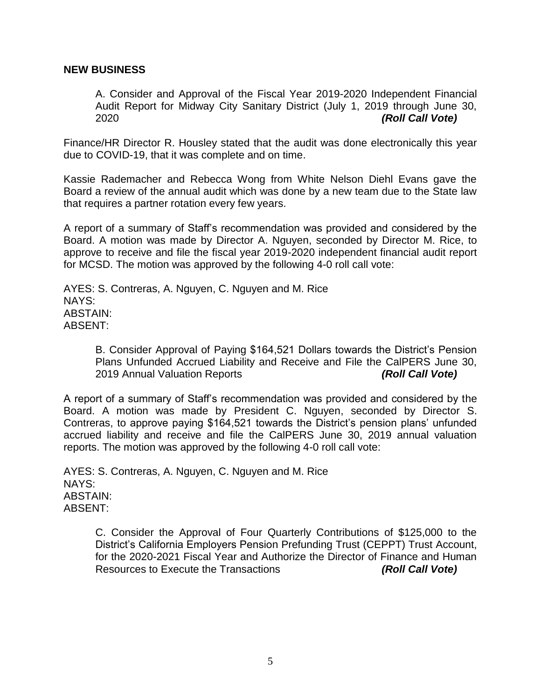#### **NEW BUSINESS**

A. Consider and Approval of the Fiscal Year 2019-2020 Independent Financial Audit Report for Midway City Sanitary District (July 1, 2019 through June 30, 2020 *(Roll Call Vote)*

Finance/HR Director R. Housley stated that the audit was done electronically this year due to COVID-19, that it was complete and on time.

Kassie Rademacher and Rebecca Wong from White Nelson Diehl Evans gave the Board a review of the annual audit which was done by a new team due to the State law that requires a partner rotation every few years.

A report of a summary of Staff's recommendation was provided and considered by the Board. A motion was made by Director A. Nguyen, seconded by Director M. Rice, to approve to receive and file the fiscal year 2019-2020 independent financial audit report for MCSD. The motion was approved by the following 4-0 roll call vote:

AYES: S. Contreras, A. Nguyen, C. Nguyen and M. Rice NAYS: ABSTAIN: ABSENT:

> B. Consider Approval of Paying \$164,521 Dollars towards the District's Pension Plans Unfunded Accrued Liability and Receive and File the CalPERS June 30, 2019 Annual Valuation Reports *(Roll Call Vote)*

A report of a summary of Staff's recommendation was provided and considered by the Board. A motion was made by President C. Nguyen, seconded by Director S. Contreras, to approve paying \$164,521 towards the District's pension plans' unfunded accrued liability and receive and file the CalPERS June 30, 2019 annual valuation reports. The motion was approved by the following 4-0 roll call vote:

AYES: S. Contreras, A. Nguyen, C. Nguyen and M. Rice NAYS: ABSTAIN: ABSENT:

> C. Consider the Approval of Four Quarterly Contributions of \$125,000 to the District's California Employers Pension Prefunding Trust (CEPPT) Trust Account, for the 2020-2021 Fiscal Year and Authorize the Director of Finance and Human Resources to Execute the Transactions *(Roll Call Vote)*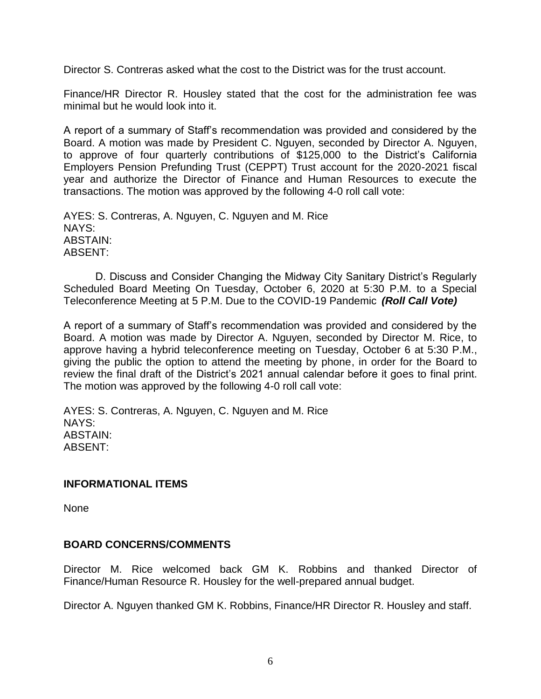Director S. Contreras asked what the cost to the District was for the trust account.

Finance/HR Director R. Housley stated that the cost for the administration fee was minimal but he would look into it.

A report of a summary of Staff's recommendation was provided and considered by the Board. A motion was made by President C. Nguyen, seconded by Director A. Nguyen, to approve of four quarterly contributions of \$125,000 to the District's California Employers Pension Prefunding Trust (CEPPT) Trust account for the 2020-2021 fiscal year and authorize the Director of Finance and Human Resources to execute the transactions. The motion was approved by the following 4-0 roll call vote:

AYES: S. Contreras, A. Nguyen, C. Nguyen and M. Rice NAYS: ABSTAIN: ABSENT:

D. Discuss and Consider Changing the Midway City Sanitary District's Regularly Scheduled Board Meeting On Tuesday, October 6, 2020 at 5:30 P.M. to a Special Teleconference Meeting at 5 P.M. Due to the COVID-19 Pandemic *(Roll Call Vote)*

A report of a summary of Staff's recommendation was provided and considered by the Board. A motion was made by Director A. Nguyen, seconded by Director M. Rice, to approve having a hybrid teleconference meeting on Tuesday, October 6 at 5:30 P.M., giving the public the option to attend the meeting by phone, in order for the Board to review the final draft of the District's 2021 annual calendar before it goes to final print. The motion was approved by the following 4-0 roll call vote:

AYES: S. Contreras, A. Nguyen, C. Nguyen and M. Rice NAYS: ABSTAIN: ABSENT:

#### **INFORMATIONAL ITEMS**

None

## **BOARD CONCERNS/COMMENTS**

Director M. Rice welcomed back GM K. Robbins and thanked Director of Finance/Human Resource R. Housley for the well-prepared annual budget.

Director A. Nguyen thanked GM K. Robbins, Finance/HR Director R. Housley and staff.